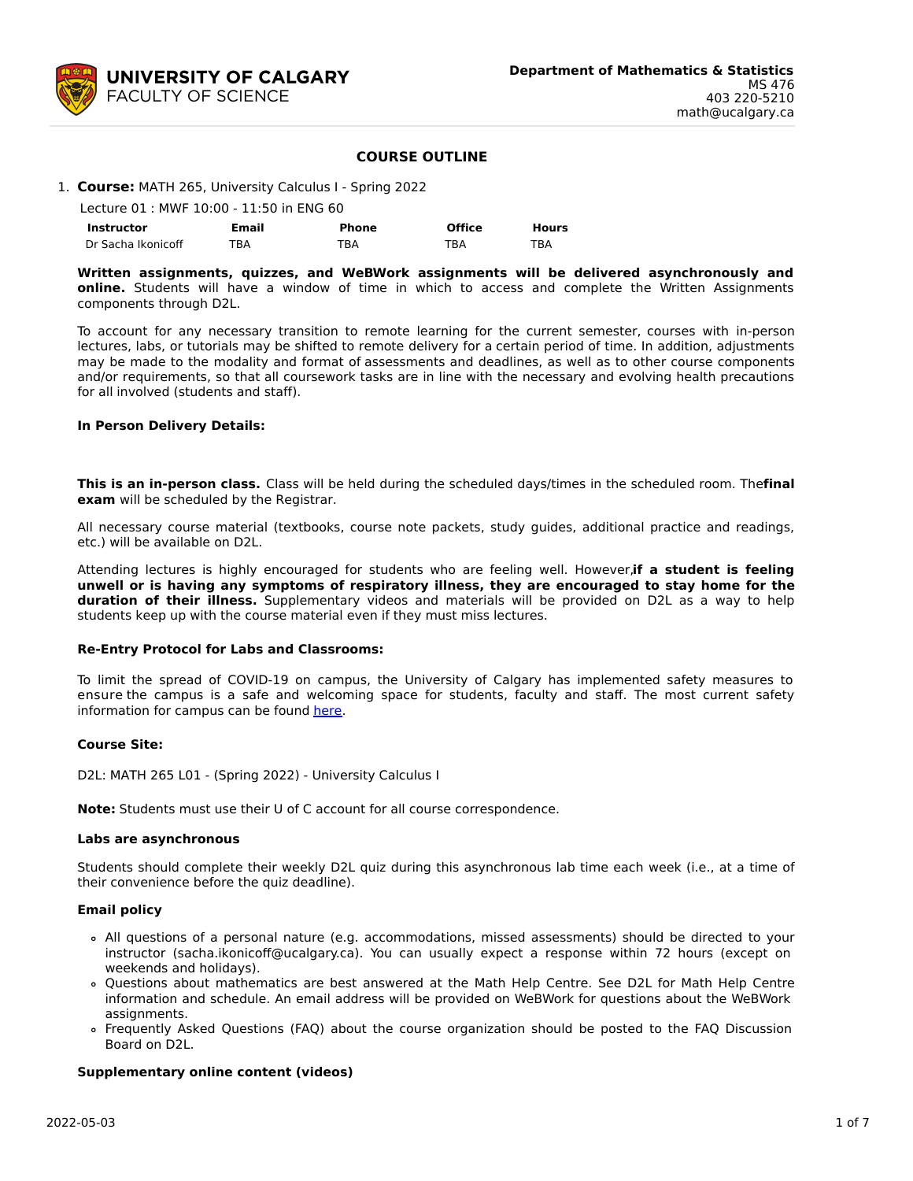

# **COURSE OUTLINE**

| 1. Course: MATH 265, University Calculus I - Spring 2022 |  |  |  |
|----------------------------------------------------------|--|--|--|

| Lecture 01 : MWF 10:00 - 11:50 in ENG 60 |       |       |               |              |  |  |  |  |  |
|------------------------------------------|-------|-------|---------------|--------------|--|--|--|--|--|
| Instructor                               | Email | Phone | <b>Office</b> | <b>Hours</b> |  |  |  |  |  |
| Dr Sacha Ikonicoff                       | TBA   | TBA   | TBA           | TBA          |  |  |  |  |  |

**Written assignments, quizzes, and WeBWork assignments will be delivered asynchronously and online.** Students will have a window of time in which to access and complete the Written Assignments components through D2L.

To account for any necessary transition to remote learning for the current semester, courses with in-person lectures, labs, or tutorials may be shifted to remote delivery for a certain period of time. In addition, adjustments may be made to the modality and format of assessments and deadlines, as well as to other course components and/or requirements, so that all coursework tasks are in line with the necessary and evolving health precautions for all involved (students and staff).

#### **In Person Delivery Details:**

**This is an in-person class.** Class will be held during the scheduled days/times in the scheduled room. The**final exam** will be scheduled by the Registrar.

All necessary course material (textbooks, course note packets, study guides, additional practice and readings, etc.) will be available on D2L.

Attending lectures is highly encouraged for students who are feeling well. However,**if a student is feeling unwell or is having any symptoms of respiratory illness, they are encouraged to stay home for the duration of their illness.** Supplementary videos and materials will be provided on D2L as a way to help students keep up with the course material even if they must miss lectures.

#### **Re-Entry Protocol for Labs and Classrooms:**

To limit the spread of COVID-19 on campus, the University of Calgary has implemented safety measures to ensure the campus is a safe and welcoming space for students, faculty and staff. The most current safety information for campus can be found [here](https://www.ucalgary.ca/risk/emergency-management/covid-19-response/return-campus-safety).

#### **Course Site:**

D2L: MATH 265 L01 - (Spring 2022) - University Calculus I

**Note:** Students must use their U of C account for all course correspondence.

#### **Labs are asynchronous**

Students should complete their weekly D2L quiz during this asynchronous lab time each week (i.e., at a time of their convenience before the quiz deadline).

#### **Email policy**

- All questions of a personal nature (e.g. accommodations, missed assessments) should be directed to your instructor (sacha.ikonicoff@ucalgary.ca). You can usually expect a response within 72 hours (except on weekends and holidays).
- Questions about mathematics are best answered at the Math Help Centre. See D2L for Math Help Centre information and schedule. An email address will be provided on WeBWork for questions about the WeBWork assignments.
- Frequently Asked Questions (FAQ) about the course organization should be posted to the FAQ Discussion Board on D2L.

## **Supplementary online content (videos)**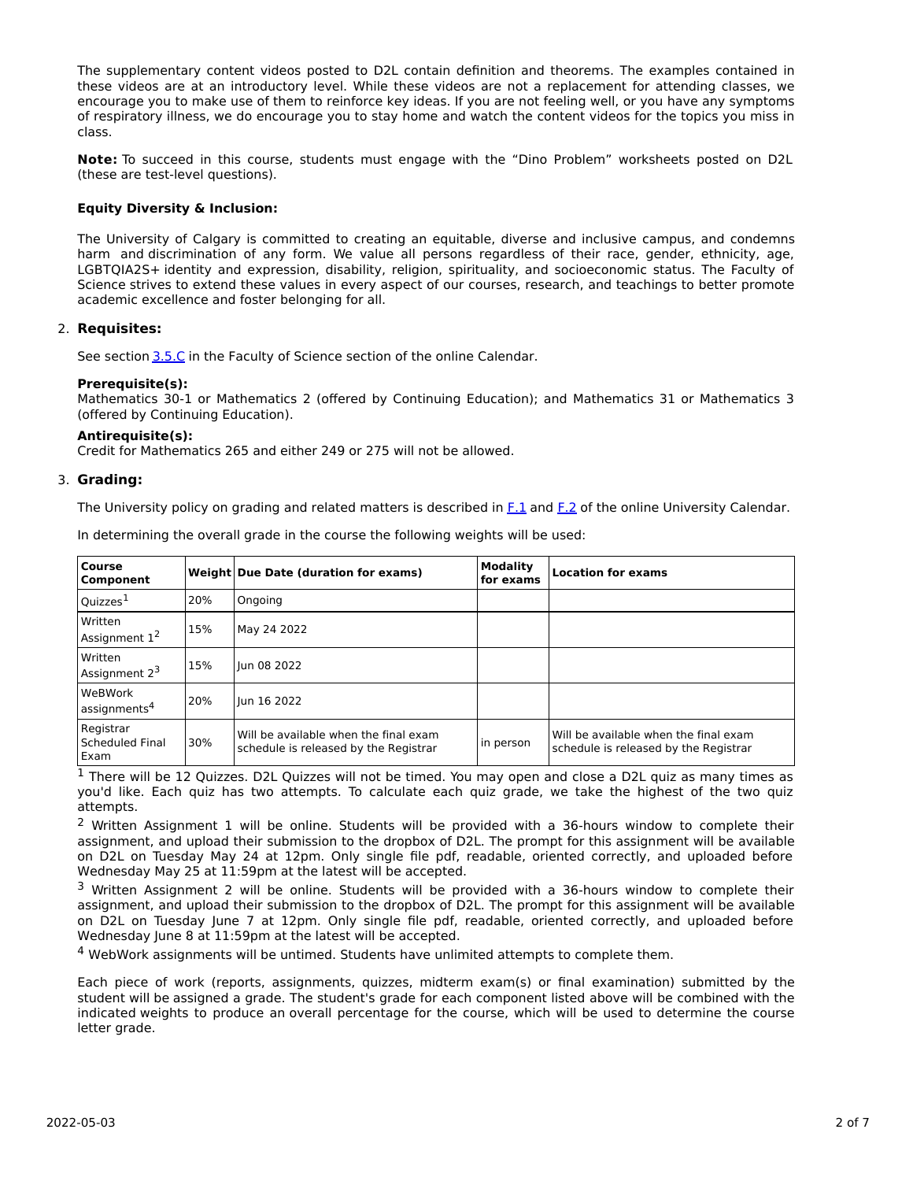The supplementary content videos posted to D2L contain definition and theorems. The examples contained in these videos are at an introductory level. While these videos are not a replacement for attending classes, we encourage you to make use of them to reinforce key ideas. If you are not feeling well, or you have any symptoms of respiratory illness, we do encourage you to stay home and watch the content videos for the topics you miss in class.

**Note:** To succeed in this course, students must engage with the "Dino Problem" worksheets posted on D2L (these are test-level questions).

## **Equity Diversity & Inclusion:**

The University of Calgary is committed to creating an equitable, diverse and inclusive campus, and condemns harm and discrimination of any form. We value all persons regardless of their race, gender, ethnicity, age, LGBTQIA2S+ identity and expression, disability, religion, spirituality, and socioeconomic status. The Faculty of Science strives to extend these values in every aspect of our courses, research, and teachings to better promote academic excellence and foster belonging for all.

## 2. **Requisites:**

See section [3.5.C](http://www.ucalgary.ca/pubs/calendar/current/sc-3-5.html) in the Faculty of Science section of the online Calendar.

## **Prerequisite(s):**

Mathematics 30-1 or Mathematics 2 (offered by Continuing Education); and Mathematics 31 or Mathematics 3 (offered by Continuing Education).

## **Antirequisite(s):**

Credit for Mathematics 265 and either 249 or 275 will not be allowed.

## 3. **Grading:**

The University policy on grading and related matters is described in [F.1](http://www.ucalgary.ca/pubs/calendar/current/f-1.html) and [F.2](http://www.ucalgary.ca/pubs/calendar/current/f-2.html) of the online University Calendar.

| <b>Course</b><br>Component                  |     | Weight Due Date (duration for exams)                                           | <b>Modality</b><br>for exams | <b>Location for exams</b>                                                      |
|---------------------------------------------|-----|--------------------------------------------------------------------------------|------------------------------|--------------------------------------------------------------------------------|
| Quizzes <sup>1</sup>                        | 20% | Ongoing                                                                        |                              |                                                                                |
| Written<br>Assignment $1^2$                 | 15% | May 24 2022                                                                    |                              |                                                                                |
| Written<br>Assignment 2 <sup>3</sup>        | 15% | lun 08 2022                                                                    |                              |                                                                                |
| <b>WeBWork</b><br>assignments <sup>4</sup>  | 20% | lun 16 2022                                                                    |                              |                                                                                |
| Registrar<br><b>Scheduled Final</b><br>Exam | 30% | Will be available when the final exam<br>schedule is released by the Registrar | in person                    | Will be available when the final exam<br>schedule is released by the Registrar |

In determining the overall grade in the course the following weights will be used:

<sup>1</sup> There will be 12 Quizzes. D2L Quizzes will not be timed. You may open and close a D2L quiz as many times as you'd like. Each quiz has two attempts. To calculate each quiz grade, we take the highest of the two quiz attempts.

<sup>2</sup> Written Assignment 1 will be online. Students will be provided with a 36-hours window to complete their assignment, and upload their submission to the dropbox of D2L. The prompt for this assignment will be available on D2L on Tuesday May 24 at 12pm. Only single file pdf, readable, oriented correctly, and uploaded before Wednesday May 25 at 11:59pm at the latest will be accepted.

<sup>3</sup> Written Assignment 2 will be online. Students will be provided with a 36-hours window to complete their assignment, and upload their submission to the dropbox of D2L. The prompt for this assignment will be available on D2L on Tuesday June 7 at 12pm. Only single file pdf, readable, oriented correctly, and uploaded before Wednesday June 8 at 11:59pm at the latest will be accepted.

<sup>4</sup> WebWork assignments will be untimed. Students have unlimited attempts to complete them.

Each piece of work (reports, assignments, quizzes, midterm exam(s) or final examination) submitted by the student will be assigned a grade. The student's grade for each component listed above will be combined with the indicated weights to produce an overall percentage for the course, which will be used to determine the course letter grade.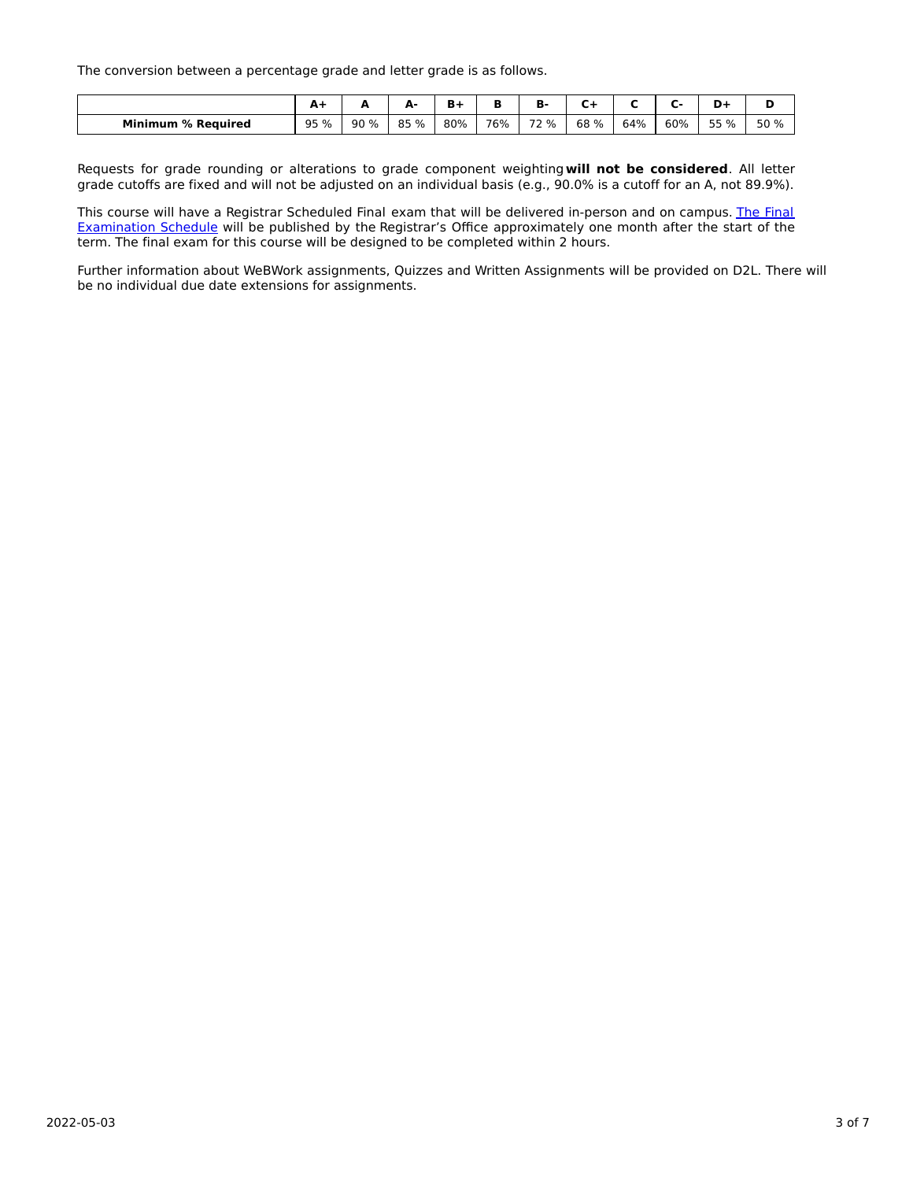The conversion between a percentage grade and letter grade is as follows.

|                           | <b>. .</b> | -    | м.<br>- | ъ.  |     | ь<br>в. |      |     |     | -    |      |
|---------------------------|------------|------|---------|-----|-----|---------|------|-----|-----|------|------|
| <b>Minimum % Required</b> | 95 %       | 90 % | 85 %    | 80% | 76% | 72 %    | 68 % | 64% | 60% | 55 % | 50 % |

Requests for grade rounding or alterations to grade component weighting**will not be considered**. All letter grade cutoffs are fixed and will not be adjusted on an individual basis (e.g., 90.0% is a cutoff for an A, not 89.9%).

This course will have a Registrar Scheduled Final exam that will be delivered in-person and on campus. The Final Examination Schedule will be published by the Registrar's Office [approximately](https://www.ucalgary.ca/registrar/exams) one month after the start of the term. The final exam for this course will be designed to be completed within 2 hours.

Further information about WeBWork assignments, Quizzes and Written Assignments will be provided on D2L. There will be no individual due date extensions for assignments.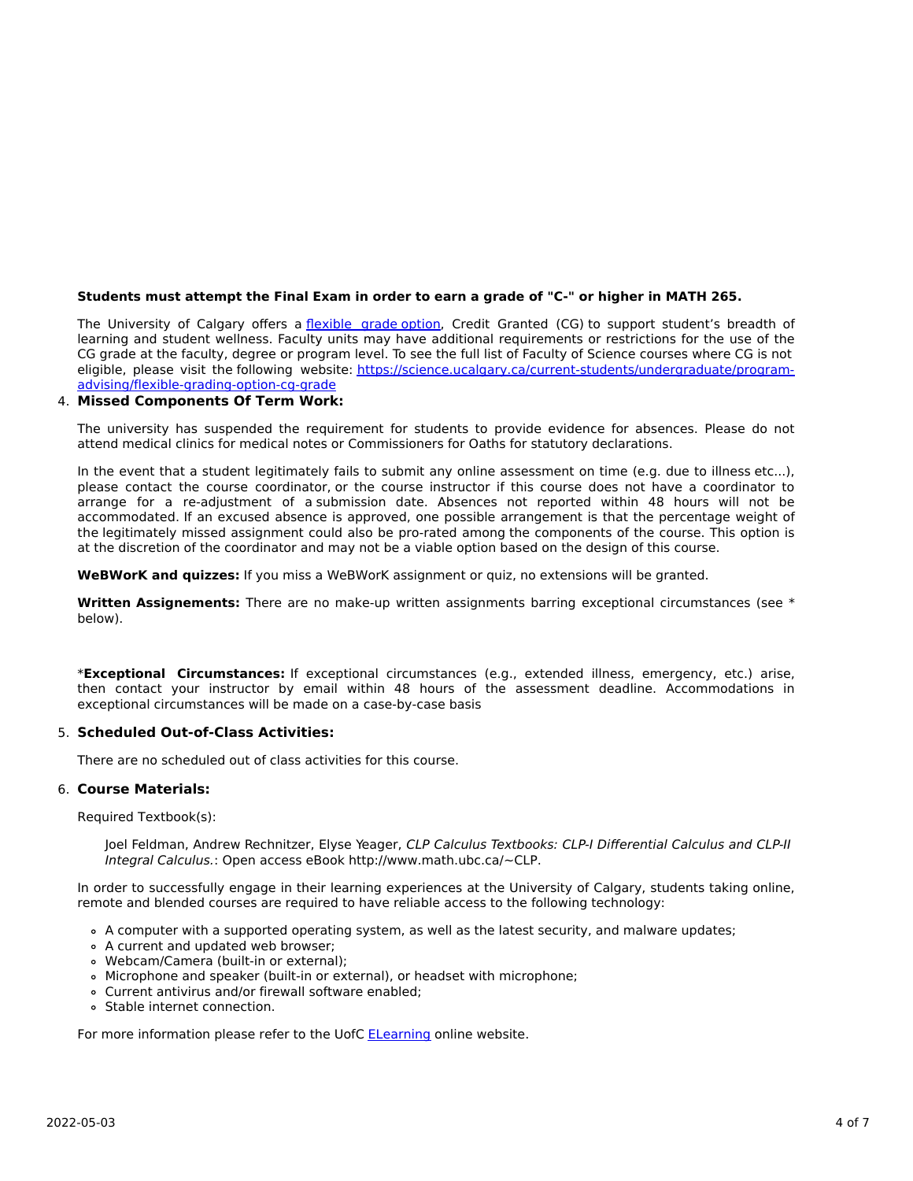## Students must attempt the Final Exam in order to earn a grade of "C-" or higher in MATH 265.

The University of Calgary offers a [flexible](https://www.ucalgary.ca/pubs/calendar/current/f-1-3.html) grade option, Credit Granted (CG) to support student's breadth of learning and student wellness. Faculty units may have additional requirements or restrictions for the use of the CG grade at the faculty, degree or program level. To see the full list of Faculty of Science courses where CG is not eligible, please visit the following website: [https://science.ucalgary.ca/current-students/undergraduate/program](https://science.ucalgary.ca/current-students/undergraduate/program-advising/flexible-grading-option-cg-grade)advising/flexible-grading-option-cg-grade

# 4. **Missed Components Of Term Work:**

The university has suspended the requirement for students to provide evidence for absences. Please do not attend medical clinics for medical notes or Commissioners for Oaths for statutory declarations.

In the event that a student legitimately fails to submit any online assessment on time (e.g. due to illness etc...), please contact the course coordinator, or the course instructor if this course does not have a coordinator to arrange for a re-adjustment of a submission date. Absences not reported within 48 hours will not be accommodated. If an excused absence is approved, one possible arrangement is that the percentage weight of the legitimately missed assignment could also be pro-rated among the components of the course. This option is at the discretion of the coordinator and may not be a viable option based on the design of this course.

**WeBWorK and quizzes:** If you miss a WeBWorK assignment or quiz, no extensions will be granted.

**Written Assignements:** There are no make-up written assignments barring exceptional circumstances (see \* below).

\***Exceptional Circumstances:** If exceptional circumstances (e.g., extended illness, emergency, etc.) arise, then contact your instructor by email within 48 hours of the assessment deadline. Accommodations in exceptional circumstances will be made on a case-by-case basis

#### 5. **Scheduled Out-of-Class Activities:**

There are no scheduled out of class activities for this course.

# 6. **Course Materials:**

Required Textbook(s):

Joel Feldman, Andrew Rechnitzer, Elyse Yeager, CLP Calculus Textbooks: CLP-I Differential Calculus and CLP-II Integral Calculus.: Open access eBook http://www.math.ubc.ca/~CLP.

In order to successfully engage in their learning experiences at the University of Calgary, students taking online, remote and blended courses are required to have reliable access to the following technology:

- A computer with a supported operating system, as well as the latest security, and malware updates;
- A current and updated web browser;
- Webcam/Camera (built-in or external);
- Microphone and speaker (built-in or external), or headset with microphone;
- Current antivirus and/or firewall software enabled;
- Stable internet connection.

For more information please refer to the UofC **[ELearning](https://elearn.ucalgary.ca/technology-requirements-for-students)** online website.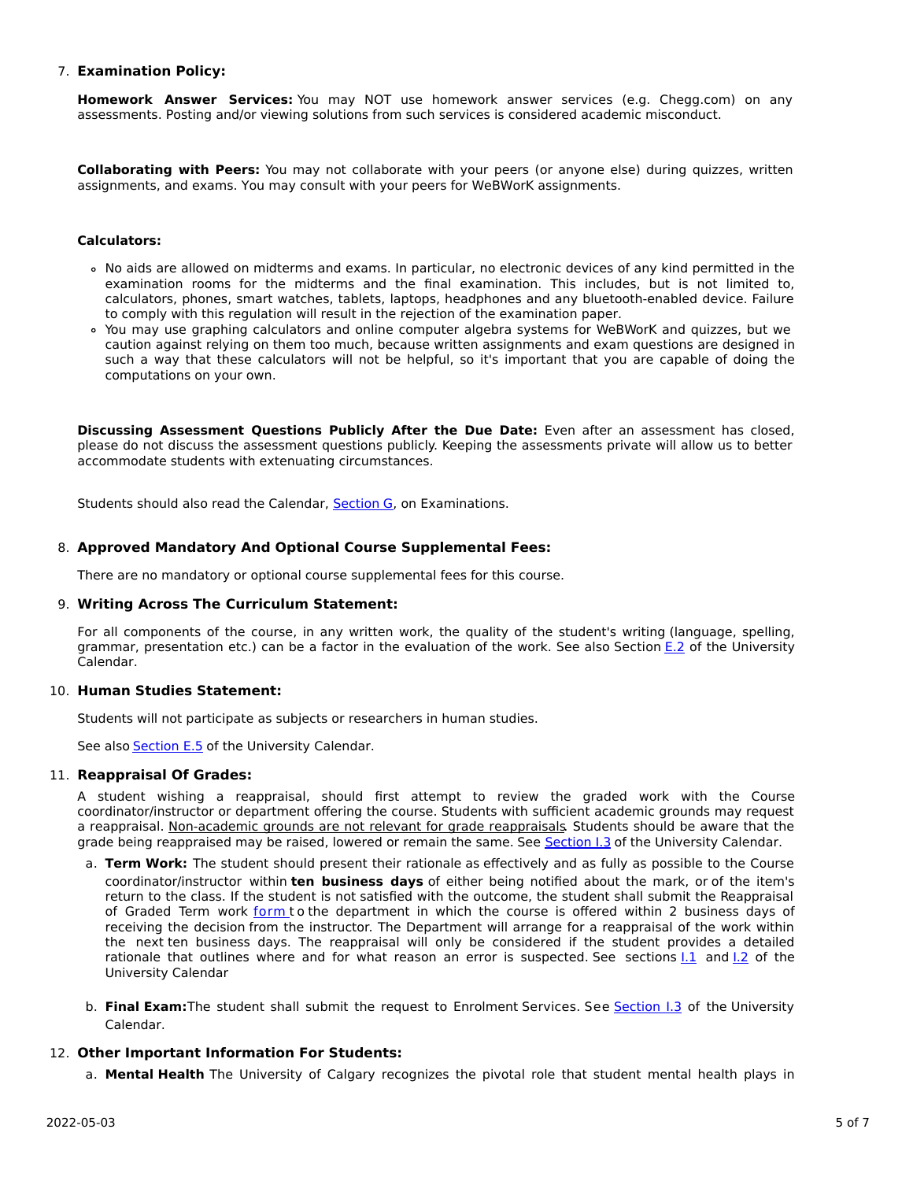## 7. **Examination Policy:**

**Homework Answer Services:** You may NOT use homework answer services (e.g. Chegg.com) on any assessments. Posting and/or viewing solutions from such services is considered academic misconduct.

**Collaborating with Peers:** You may not collaborate with your peers (or anyone else) during quizzes, written assignments, and exams. You may consult with your peers for WeBWorK assignments.

#### **Calculators:**

- No aids are allowed on midterms and exams. In particular, no electronic devices of any kind permitted in the examination rooms for the midterms and the final examination. This includes, but is not limited to, calculators, phones, smart watches, tablets, laptops, headphones and any bluetooth-enabled device. Failure to comply with this regulation will result in the rejection of the examination paper.
- You may use graphing calculators and online computer algebra systems for WeBWorK and quizzes, but we caution against relying on them too much, because written assignments and exam questions are designed in such a way that these calculators will not be helpful, so it's important that you are capable of doing the computations on your own.

**Discussing Assessment Questions Publicly After the Due Date:** Even after an assessment has closed, please do not discuss the assessment questions publicly. Keeping the assessments private will allow us to better accommodate students with extenuating circumstances.

Students should also read the Calendar, [Section](http://www.ucalgary.ca/pubs/calendar/current/g.html) G, on Examinations.

# 8. **Approved Mandatory And Optional Course Supplemental Fees:**

There are no mandatory or optional course supplemental fees for this course.

#### 9. **Writing Across The Curriculum Statement:**

For all components of the course, in any written work, the quality of the student's writing (language, spelling, grammar, presentation etc.) can be a factor in the evaluation of the work. See also Section [E.2](http://www.ucalgary.ca/pubs/calendar/current/e-2.html) of the University Calendar.

#### 10. **Human Studies Statement:**

Students will not participate as subjects or researchers in human studies.

See also **[Section](http://www.ucalgary.ca/pubs/calendar/current/e-5.html) E.5** of the University Calendar.

#### 11. **Reappraisal Of Grades:**

A student wishing a reappraisal, should first attempt to review the graded work with the Course coordinator/instructor or department offering the course. Students with sufficient academic grounds may request a reappraisal. Non-academic grounds are not relevant for grade reappraisals. Students should be aware that the grade being reappraised may be raised, lowered or remain the same. See [Section](http://www.ucalgary.ca/pubs/calendar/current/i-3.html) I.3 of the University Calendar.

- a. **Term Work:** The student should present their rationale as effectively and as fully as possible to the Course coordinator/instructor within **ten business days** of either being notified about the mark, or of the item's return to the class. If the student is not satisfied with the outcome, the student shall submit the Reappraisal of Graded Term work [form](https://science.ucalgary.ca/sites/default/files/teams/1/Reappraisal_Termwork_2021.pdf) to the department in which the course is offered within 2 business days of receiving the decision from the instructor. The Department will arrange for a reappraisal of the work within the next ten business days. The reappraisal will only be considered if the student provides a detailed rationale that outlines where and for what reason an error is suspected. See sections  $1.1$  and  $1.2$  of the University Calendar
- b. **Final Exam:**The student shall submit the request to Enrolment Services. See [Section](http://www.ucalgary.ca/pubs/calendar/current/i-3.html) I.3 of the University Calendar.

# 12. **Other Important Information For Students:**

a. **Mental Health** The University of Calgary recognizes the pivotal role that student mental health plays in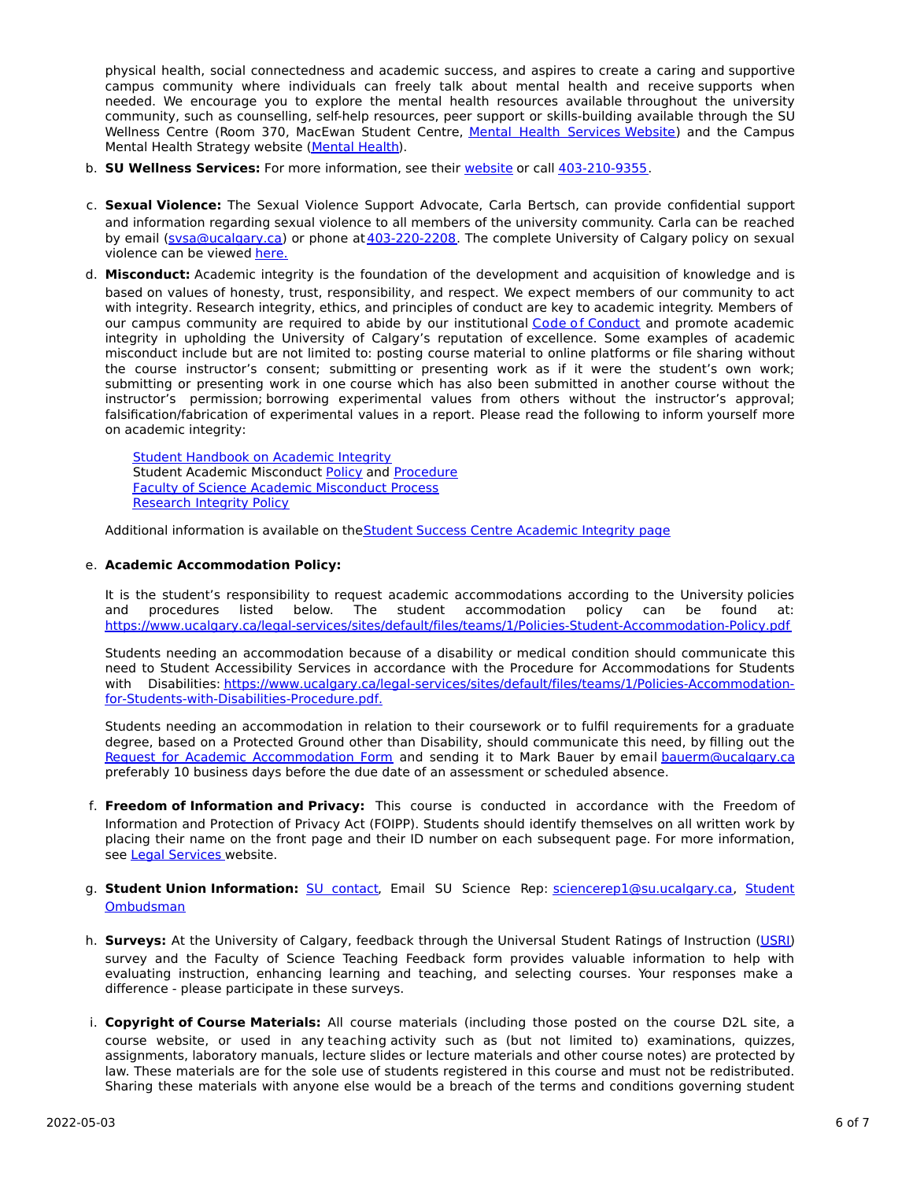physical health, social connectedness and academic success, and aspires to create a caring and supportive campus community where individuals can freely talk about mental health and receive supports when needed. We encourage you to explore the mental health resources available throughout the university community, such as counselling, self-help resources, peer support or skills-building available through the SU Wellness Centre (Room 370, MacEwan Student Centre, Mental Health [Services](https://www.ucalgary.ca/wellnesscentre/services/mental-health-services) Website) and the Campus Mental Health Strategy website [\(Mental](http://www.ucalgary.ca/mentalhealth) Health).

- b. **SU Wellness Services:** For more information, see their [website](http://www.ucalgary.ca/wellnesscentre) or call [403-210-9355](tel:4032109355).
- c. **Sexual Violence:** The Sexual Violence Support Advocate, Carla Bertsch, can provide confidential support and information regarding sexual violence to all members of the university community. Carla can be reached by email [\(svsa@ucalgary.ca](mailto:svsa@ucalgary.ca)) or phone at [403-220-2208](tel:4032202208). The complete University of Calgary policy on sexual violence can be viewed [here.](https://www.ucalgary.ca/legal-services/sites/default/files/teams/1/Policies-Sexual-and-Gender-Based-Violence-Policy.pdf)
- d. **Misconduct:** Academic integrity is the foundation of the development and acquisition of knowledge and is based on values of honesty, trust, responsibility, and respect. We expect members of our community to act with integrity. Research integrity, ethics, and principles of conduct are key to academic integrity. Members of our campus community are required to abide by our institutional Code of [Conduct](https://www.ucalgary.ca/legal-services/sites/default/files/teams/1/Policies-Code-of-Conduct.pdf) and promote academic integrity in upholding the University of Calgary's reputation of excellence. Some examples of academic misconduct include but are not limited to: posting course material to online platforms or file sharing without the course instructor's consent; submitting or presenting work as if it were the student's own work; submitting or presenting work in one course which has also been submitted in another course without the instructor's permission; borrowing experimental values from others without the instructor's approval; falsification/fabrication of experimental values in a report. Please read the following to inform yourself more on academic integrity:

Student [Handbook](https://www.ucalgary.ca/live-uc-ucalgary-site/sites/default/files/teams/9/AI-Student-handbook-1.pdf) on Academic Integrity Student Academic Misconduct [Policy](https://www.ucalgary.ca/legal-services/sites/default/files/teams/1/Policies-Student-Academic-Misconduct-Policy.pdf) and [Procedure](https://www.ucalgary.ca/legal-services/sites/default/files/teams/1/Policies-Student-Academic-Misconduct-Procedure.pdf) Faculty of Science Academic [Misconduct](https://science.ucalgary.ca/current-students/undergraduate/program-advising) Process [Research](https://www.ucalgary.ca/legal-services/sites/default/files/teams/1/Policies-Research-Integrity-Policy.pdf) Integrity Policy

Additional information is available on the Student Success Centre [Academic](https://ucalgary.ca/student-services/student-success/learning/academic-integrity) Integrity page

# e. **Academic Accommodation Policy:**

It is the student's responsibility to request academic accommodations according to the University policies and procedures listed below. The student accommodation policy can be found at: <https://www.ucalgary.ca/legal-services/sites/default/files/teams/1/Policies-Student-Accommodation-Policy.pdf>

Students needing an accommodation because of a disability or medical condition should communicate this need to Student Accessibility Services in accordance with the Procedure for Accommodations for Students with Disabilities: [https://www.ucalgary.ca/legal-services/sites/default/files/teams/1/Policies-Accommodation](https://www.ucalgary.ca/legal-services/sites/default/files/teams/1/Policies-Accommodation-for-Students-with-Disabilities-Procedure.pdf)for-Students-with-Disabilities-Procedure.pdf.

Students needing an accommodation in relation to their coursework or to fulfil requirements for a graduate degree, based on a Protected Ground other than Disability, should communicate this need, by filling out the Request for Academic [Accommodation](https://science.ucalgary.ca/sites/default/files/teams/1/request-accommodation-academic-courses.pdf) Form and sending it to Mark Bauer by email [bauerm@ucalgary.ca](mailto:bauerm@ucalgary.ca) preferably 10 business days before the due date of an assessment or scheduled absence.

- f. **Freedom of Information and Privacy:** This course is conducted in accordance with the Freedom of Information and Protection of Privacy Act (FOIPP). Students should identify themselves on all written work by placing their name on the front page and their ID number on each subsequent page. For more information, see Legal [Services](https://www.ucalgary.ca/legal-services/access-information-privacy) website.
- g. **Student Union Information:** SU [contact,](http://www.su.ucalgary.ca/contact) Email SU Science Rep: [sciencerep1@su.ucalgary.c](mailto:sciencerep1@su.ucalgary.ca)[a,](https://www.ucalgary.ca/student-services/ombuds) Student Ombudsman
- h. **Surveys:** At the University of Calgary, feedback through the Universal Student Ratings of Instruction [\(USRI](http://www.ucalgary.ca/usri)) survey and the Faculty of Science Teaching Feedback form provides valuable information to help with evaluating instruction, enhancing learning and teaching, and selecting courses. Your responses make a difference - please participate in these surveys.
- i. **Copyright of Course Materials:** All course materials (including those posted on the course D2L site, a course website, or used in any teaching activity such as (but not limited to) examinations, quizzes, assignments, laboratory manuals, lecture slides or lecture materials and other course notes) are protected by law. These materials are for the sole use of students registered in this course and must not be redistributed. Sharing these materials with anyone else would be a breach of the terms and conditions governing student